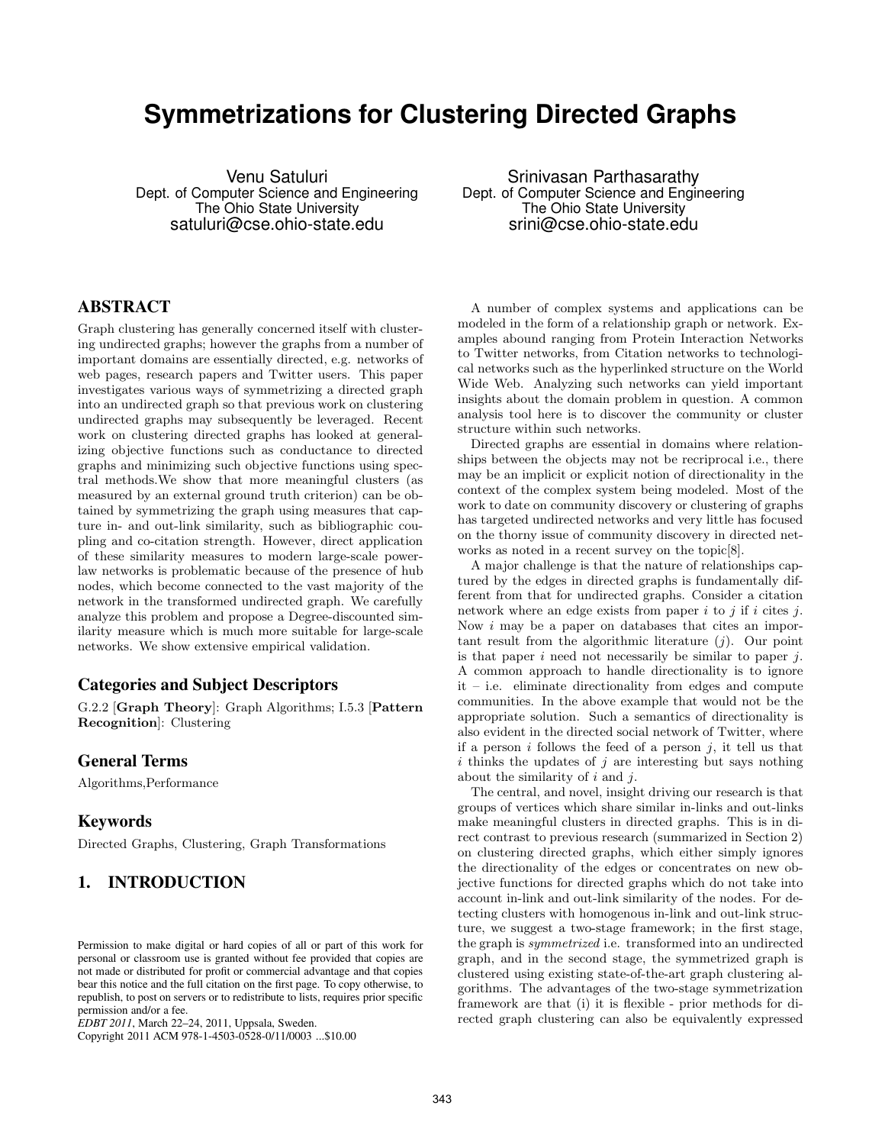# **Symmetrizations for Clustering Directed Graphs**

Venu Satuluri Dept. of Computer Science and Engineering The Ohio State University satuluri@cse.ohio-state.edu

Srinivasan Parthasarathy Dept. of Computer Science and Engineering The Ohio State University srini@cse.ohio-state.edu

# **ABSTRACT**

Graph clustering has generally concerned itself with clustering undirected graphs; however the graphs from a number of important domains are essentially directed, e.g. networks of web pages, research papers and Twitter users. This paper investigates various ways of symmetrizing a directed graph into an undirected graph so that previous work on clustering undirected graphs may subsequently be leveraged. Recent work on clustering directed graphs has looked at generalizing objective functions such as conductance to directed graphs and minimizing such objective functions using spectral methods.We show that more meaningful clusters (as measured by an external ground truth criterion) can be obtained by symmetrizing the graph using measures that capture in- and out-link similarity, such as bibliographic coupling and co-citation strength. However, direct application of these similarity measures to modern large-scale powerlaw networks is problematic because of the presence of hub nodes, which become connected to the vast majority of the network in the transformed undirected graph. We carefully analyze this problem and propose a Degree-discounted similarity measure which is much more suitable for large-scale networks. We show extensive empirical validation.

# **Categories and Subject Descriptors**

G.2.2 [Graph Theory]: Graph Algorithms; I.5.3 [Pattern Recognition]: Clustering

## **General Terms**

Algorithms,Performance

## **Keywords**

Directed Graphs, Clustering, Graph Transformations

# **1. INTRODUCTION**

Copyright 2011 ACM 978-1-4503-0528-0/11/0003 ...\$10.00

A number of complex systems and applications can be modeled in the form of a relationship graph or network. Examples abound ranging from Protein Interaction Networks to Twitter networks, from Citation networks to technological networks such as the hyperlinked structure on the World Wide Web. Analyzing such networks can yield important insights about the domain problem in question. A common analysis tool here is to discover the community or cluster structure within such networks.

Directed graphs are essential in domains where relationships between the objects may not be recriprocal i.e., there may be an implicit or explicit notion of directionality in the context of the complex system being modeled. Most of the work to date on community discovery or clustering of graphs has targeted undirected networks and very little has focused on the thorny issue of community discovery in directed networks as noted in a recent survey on the topic[8].

A major challenge is that the nature of relationships captured by the edges in directed graphs is fundamentally different from that for undirected graphs. Consider a citation network where an edge exists from paper  $i$  to  $j$  if  $i$  cites  $j$ . Now i may be a paper on databases that cites an important result from the algorithmic literature  $(i)$ . Our point is that paper  $i$  need not necessarily be similar to paper  $j$ . A common approach to handle directionality is to ignore it – i.e. eliminate directionality from edges and compute communities. In the above example that would not be the appropriate solution. Such a semantics of directionality is also evident in the directed social network of Twitter, where if a person  $i$  follows the feed of a person  $j$ , it tell us that  $i$  thinks the updates of  $j$  are interesting but says nothing about the similarity of  $i$  and  $j$ .

The central, and novel, insight driving our research is that groups of vertices which share similar in-links and out-links make meaningful clusters in directed graphs. This is in direct contrast to previous research (summarized in Section 2) on clustering directed graphs, which either simply ignores the directionality of the edges or concentrates on new objective functions for directed graphs which do not take into account in-link and out-link similarity of the nodes. For detecting clusters with homogenous in-link and out-link structure, we suggest a two-stage framework; in the first stage, the graph is symmetrized i.e. transformed into an undirected graph, and in the second stage, the symmetrized graph is clustered using existing state-of-the-art graph clustering algorithms. The advantages of the two-stage symmetrization framework are that (i) it is flexible - prior methods for directed graph clustering can also be equivalently expressed

Permission to make digital or hard copies of all or part of this work for personal or classroom use is granted without fee provided that copies are not made or distributed for profit or commercial advantage and that copies bear this notice and the full citation on the first page. To copy otherwise, to republish, to post on servers or to redistribute to lists, requires prior specific permission and/or a fee.

*EDBT 2011*, March 22–24, 2011, Uppsala, Sweden.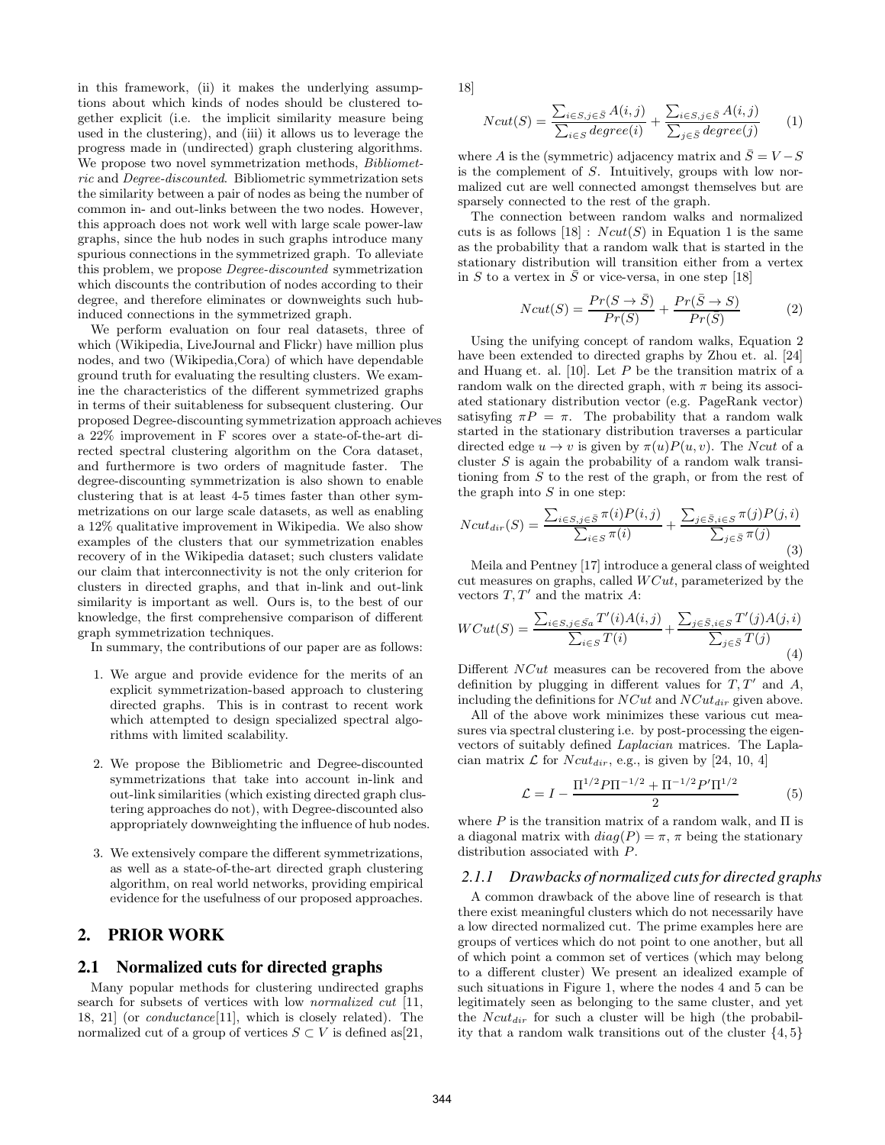in this framework, (ii) it makes the underlying assumptions about which kinds of nodes should be clustered together explicit (i.e. the implicit similarity measure being used in the clustering), and (iii) it allows us to leverage the progress made in (undirected) graph clustering algorithms. We propose two novel symmetrization methods, *Bibliomet*ric and Degree-discounted. Bibliometric symmetrization sets the similarity between a pair of nodes as being the number of common in- and out-links between the two nodes. However, this approach does not work well with large scale power-law graphs, since the hub nodes in such graphs introduce many spurious connections in the symmetrized graph. To alleviate this problem, we propose Degree-discounted symmetrization which discounts the contribution of nodes according to their degree, and therefore eliminates or downweights such hubinduced connections in the symmetrized graph.

We perform evaluation on four real datasets, three of which (Wikipedia, LiveJournal and Flickr) have million plus nodes, and two (Wikipedia,Cora) of which have dependable ground truth for evaluating the resulting clusters. We examine the characteristics of the different symmetrized graphs in terms of their suitableness for subsequent clustering. Our proposed Degree-discounting symmetrization approach achieves a 22% improvement in F scores over a state-of-the-art directed spectral clustering algorithm on the Cora dataset, and furthermore is two orders of magnitude faster. The degree-discounting symmetrization is also shown to enable clustering that is at least 4-5 times faster than other symmetrizations on our large scale datasets, as well as enabling a 12% qualitative improvement in Wikipedia. We also show examples of the clusters that our symmetrization enables recovery of in the Wikipedia dataset; such clusters validate our claim that interconnectivity is not the only criterion for clusters in directed graphs, and that in-link and out-link similarity is important as well. Ours is, to the best of our knowledge, the first comprehensive comparison of different graph symmetrization techniques.

In summary, the contributions of our paper are as follows:

- 1. We argue and provide evidence for the merits of an explicit symmetrization-based approach to clustering directed graphs. This is in contrast to recent work which attempted to design specialized spectral algorithms with limited scalability.
- 2. We propose the Bibliometric and Degree-discounted symmetrizations that take into account in-link and out-link similarities (which existing directed graph clustering approaches do not), with Degree-discounted also appropriately downweighting the influence of hub nodes.
- 3. We extensively compare the different symmetrizations, as well as a state-of-the-art directed graph clustering algorithm, on real world networks, providing empirical evidence for the usefulness of our proposed approaches.

## **2. PRIOR WORK**

## **2.1 Normalized cuts for directed graphs**

Many popular methods for clustering undirected graphs search for subsets of vertices with low *normalized cut* [11, 18, 21] (or conductance[11], which is closely related). The normalized cut of a group of vertices  $S \subset V$  is defined as [21,

18]

$$
Ncut(S) = \frac{\sum_{i \in S, j \in \bar{S}} A(i, j)}{\sum_{i \in S} degree(i)} + \frac{\sum_{i \in S, j \in \bar{S}} A(i, j)}{\sum_{j \in \bar{S}} degree(j)} \tag{1}
$$

where A is the (symmetric) adjacency matrix and  $\bar{S} = V - S$ is the complement of S. Intuitively, groups with low normalized cut are well connected amongst themselves but are sparsely connected to the rest of the graph.

The connection between random walks and normalized cuts is as follows  $[18] : Ncut(S)$  in Equation 1 is the same as the probability that a random walk that is started in the stationary distribution will transition either from a vertex in S to a vertex in  $\overline{S}$  or vice-versa, in one step [18]

$$
Ncut(S) = \frac{Pr(S \to \bar{S})}{Pr(S)} + \frac{Pr(\bar{S} \to S)}{Pr(\bar{S})}
$$
(2)

Using the unifying concept of random walks, Equation 2 have been extended to directed graphs by Zhou et. al. [24] and Huang et. al.  $[10]$ . Let P be the transition matrix of a random walk on the directed graph, with  $\pi$  being its associated stationary distribution vector (e.g. PageRank vector) satisyfing  $\pi P = \pi$ . The probability that a random walk started in the stationary distribution traverses a particular directed edge  $u \to v$  is given by  $\pi(u)P(u, v)$ . The Ncut of a cluster S is again the probability of a random walk transitioning from S to the rest of the graph, or from the rest of the graph into  $S$  in one step:

$$
Ncut_{dir}(S) = \frac{\sum_{i \in S, j \in \bar{S}} \pi(i)P(i,j)}{\sum_{i \in S} \pi(i)} + \frac{\sum_{j \in \bar{S}, i \in S} \pi(j)P(j,i)}{\sum_{j \in \bar{S}} \pi(j)}
$$
(3)

Meila and Pentney [17] introduce a general class of weighted cut measures on graphs, called  $WCut$ , parameterized by the vectors  $T, T'$  and the matrix A:

$$
WCut(S) = \frac{\sum_{i \in S, j \in \bar{S}_a} T'(i)A(i,j)}{\sum_{i \in S} T(i)} + \frac{\sum_{j \in \bar{S}, i \in S} T'(j)A(j,i)}{\sum_{j \in \bar{S}} T(j)} \tag{4}
$$

Different NCut measures can be recovered from the above definition by plugging in different values for  $T, T'$  and  $A$ , including the definitions for  $NCut$  and  $NCut_{dir}$  given above.

All of the above work minimizes these various cut measures via spectral clustering i.e. by post-processing the eigenvectors of suitably defined Laplacian matrices. The Laplacian matrix  $\mathcal L$  for  $Ncut_{dir}$ , e.g., is given by [24, 10, 4]

$$
\mathcal{L} = I - \frac{\Pi^{1/2} P \Pi^{-1/2} + \Pi^{-1/2} P' \Pi^{1/2}}{2} \tag{5}
$$

where  $P$  is the transition matrix of a random walk, and  $\Pi$  is a diagonal matrix with  $diag(P) = \pi$ ,  $\pi$  being the stationary distribution associated with P.

## *2.1.1 Drawbacks of normalized cuts for directed graphs*

A common drawback of the above line of research is that there exist meaningful clusters which do not necessarily have a low directed normalized cut. The prime examples here are groups of vertices which do not point to one another, but all of which point a common set of vertices (which may belong to a different cluster) We present an idealized example of such situations in Figure 1, where the nodes 4 and 5 can be legitimately seen as belonging to the same cluster, and yet the  $Ncut_{dir}$  for such a cluster will be high (the probability that a random walk transitions out of the cluster  $\{4, 5\}$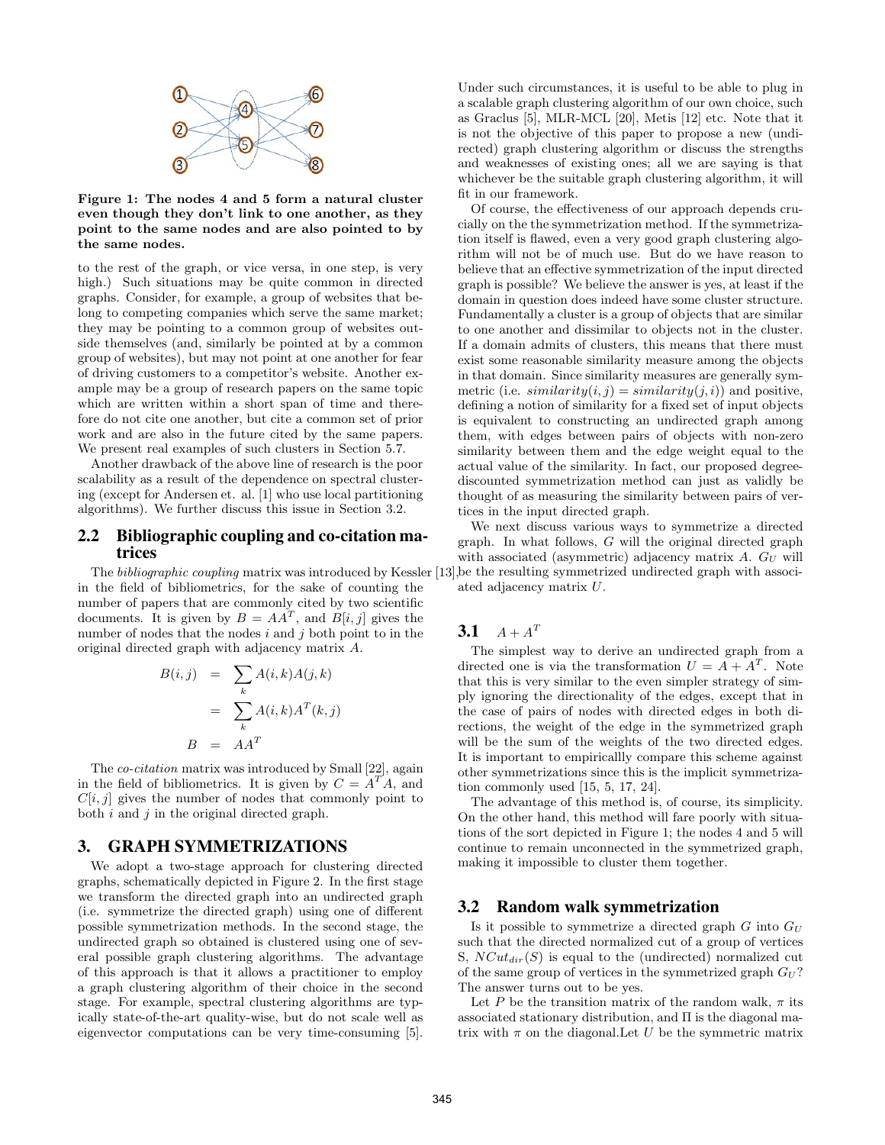

Figure 1: The nodes 4 and 5 form a natural cluster even though they don't link to one another, as they point to the same nodes and are also pointed to by the same nodes.

to the rest of the graph, or vice versa, in one step, is very high.) Such situations may be quite common in directed graphs. Consider, for example, a group of websites that belong to competing companies which serve the same market; they may be pointing to a common group of websites outside themselves (and, similarly be pointed at by a common group of websites), but may not point at one another for fear of driving customers to a competitor's website. Another example may be a group of research papers on the same topic which are written within a short span of time and therefore do not cite one another, but cite a common set of prior work and are also in the future cited by the same papers. We present real examples of such clusters in Section 5.7.

Another drawback of the above line of research is the poor scalability as a result of the dependence on spectral clustering (except for Andersen et. al. [1] who use local partitioning algorithms). We further discuss this issue in Section 3.2.

## **2.2 Bibliographic coupling and co-citation matrices**

in the field of bibliometrics, for the sake of counting the number of papers that are commonly cited by two scientific documents. It is given by  $B = AA^T$ , and  $B[i, j]$  gives the number of nodes that the nodes  $i$  and  $j$  both point to in the original directed graph with adjacency matrix A.

$$
B(i,j) = \sum_{k} A(i,k)A(j,k)
$$

$$
= \sum_{k} A(i,k)A^{T}(k,j)
$$

$$
B = AA^{T}
$$

The co-citation matrix was introduced by Small [22], again in the field of bibliometrics. It is given by  $C = A<sup>T</sup> A$ , and  $C[i, j]$  gives the number of nodes that commonly point to both  $i$  and  $j$  in the original directed graph.

## **3. GRAPH SYMMETRIZATIONS**

We adopt a two-stage approach for clustering directed graphs, schematically depicted in Figure 2. In the first stage we transform the directed graph into an undirected graph (i.e. symmetrize the directed graph) using one of different possible symmetrization methods. In the second stage, the undirected graph so obtained is clustered using one of several possible graph clustering algorithms. The advantage of this approach is that it allows a practitioner to employ a graph clustering algorithm of their choice in the second stage. For example, spectral clustering algorithms are typically state-of-the-art quality-wise, but do not scale well as eigenvector computations can be very time-consuming [5].

Under such circumstances, it is useful to be able to plug in a scalable graph clustering algorithm of our own choice, such as Graclus [5], MLR-MCL [20], Metis [12] etc. Note that it is not the objective of this paper to propose a new (undirected) graph clustering algorithm or discuss the strengths and weaknesses of existing ones; all we are saying is that whichever be the suitable graph clustering algorithm, it will fit in our framework.

Of course, the effectiveness of our approach depends crucially on the the symmetrization method. If the symmetrization itself is flawed, even a very good graph clustering algorithm will not be of much use. But do we have reason to believe that an effective symmetrization of the input directed graph is possible? We believe the answer is yes, at least if the domain in question does indeed have some cluster structure. Fundamentally a cluster is a group of objects that are similar to one another and dissimilar to objects not in the cluster. If a domain admits of clusters, this means that there must exist some reasonable similarity measure among the objects in that domain. Since similarity measures are generally symmetric (i.e.  $similarity(i, j) = similarity(j, i)$ ) and positive, defining a notion of similarity for a fixed set of input objects is equivalent to constructing an undirected graph among them, with edges between pairs of objects with non-zero similarity between them and the edge weight equal to the actual value of the similarity. In fact, our proposed degreediscounted symmetrization method can just as validly be thought of as measuring the similarity between pairs of vertices in the input directed graph.

The bibliographic coupling matrix was introduced by Kessler [13], be the resulting symmetrized undirected graph with associ-We next discuss various ways to symmetrize a directed graph. In what follows, G will the original directed graph with associated (asymmetric) adjacency matrix  $A$ .  $G_U$  will ated adjacency matrix U.

# **3.1**  $A + A^T$

The simplest way to derive an undirected graph from a directed one is via the transformation  $U = A + A^T$ . Note that this is very similar to the even simpler strategy of simply ignoring the directionality of the edges, except that in the case of pairs of nodes with directed edges in both directions, the weight of the edge in the symmetrized graph will be the sum of the weights of the two directed edges. It is important to empiricallly compare this scheme against other symmetrizations since this is the implicit symmetrization commonly used [15, 5, 17, 24].

The advantage of this method is, of course, its simplicity. On the other hand, this method will fare poorly with situations of the sort depicted in Figure 1; the nodes 4 and 5 will continue to remain unconnected in the symmetrized graph, making it impossible to cluster them together.

## **3.2 Random walk symmetrization**

Is it possible to symmetrize a directed graph  $G$  into  $G_U$ such that the directed normalized cut of a group of vertices S,  $NCut_{dir}(S)$  is equal to the (undirected) normalized cut of the same group of vertices in the symmetrized graph  $G_U$ ? The answer turns out to be yes.

Let P be the transition matrix of the random walk,  $\pi$  its associated stationary distribution, and Π is the diagonal matrix with  $\pi$  on the diagonal. Let U be the symmetric matrix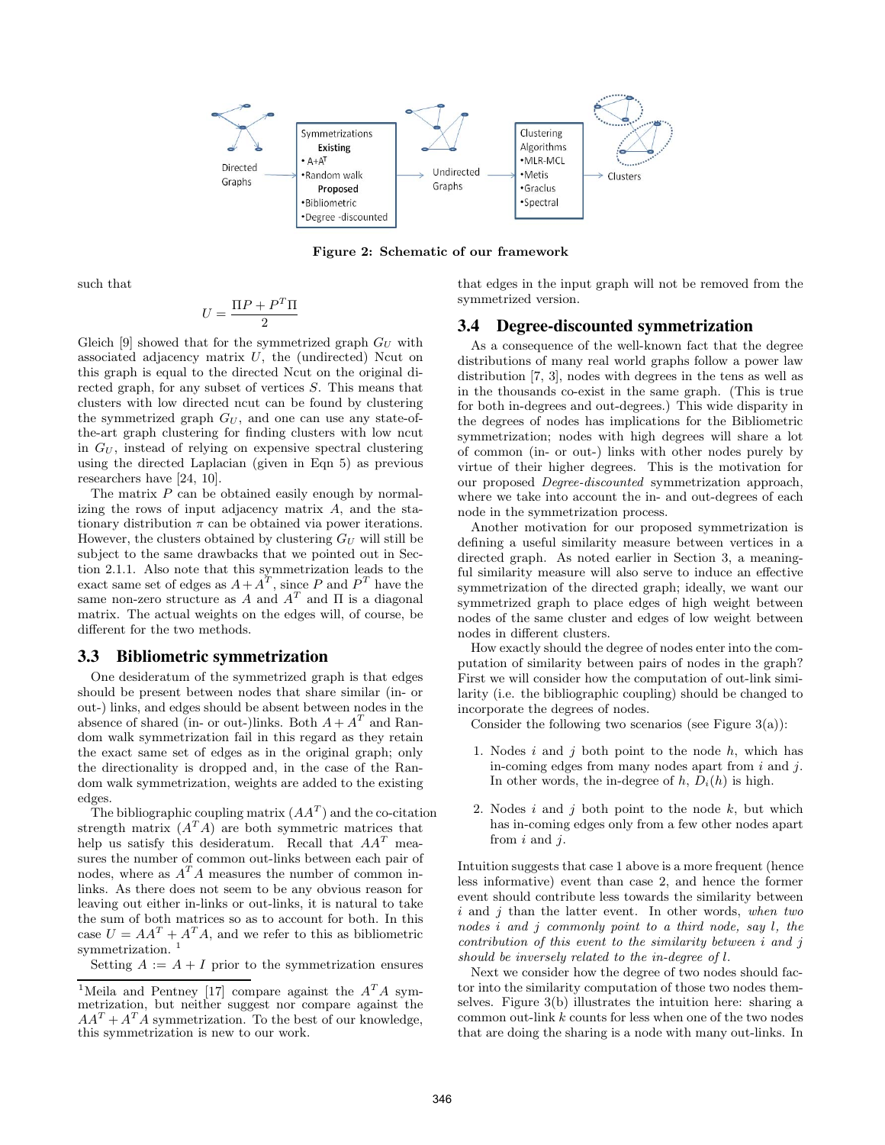

Figure 2: Schematic of our framework

such that

$$
U=\frac{\Pi P+P^T\Pi}{2}
$$

Gleich [9] showed that for the symmetrized graph  $G_U$  with associated adjacency matrix  $U$ , the (undirected) Ncut on this graph is equal to the directed Ncut on the original directed graph, for any subset of vertices S. This means that clusters with low directed ncut can be found by clustering the symmetrized graph  $G_U$ , and one can use any state-ofthe-art graph clustering for finding clusters with low ncut in  $G_U$ , instead of relying on expensive spectral clustering using the directed Laplacian (given in Eqn 5) as previous researchers have [24, 10].

The matrix  $P$  can be obtained easily enough by normalizing the rows of input adjacency matrix  $A$ , and the stationary distribution  $\pi$  can be obtained via power iterations. However, the clusters obtained by clustering  $G_U$  will still be subject to the same drawbacks that we pointed out in Section 2.1.1. Also note that this symmetrization leads to the exact same set of edges as  $A + A<sup>T</sup>$ , since P and  $P<sup>T</sup>$  have the same non-zero structure as A and  $A<sup>T</sup>$  and  $\Pi$  is a diagonal matrix. The actual weights on the edges will, of course, be different for the two methods.

#### **3.3 Bibliometric symmetrization**

One desideratum of the symmetrized graph is that edges should be present between nodes that share similar (in- or out-) links, and edges should be absent between nodes in the absence of shared (in- or out-)links. Both  $A + A<sup>T</sup>$  and Random walk symmetrization fail in this regard as they retain the exact same set of edges as in the original graph; only the directionality is dropped and, in the case of the Random walk symmetrization, weights are added to the existing edges.

The bibliographic coupling matrix  $(AA<sup>T</sup>)$  and the co-citation strength matrix  $(A^T A)$  are both symmetric matrices that help us satisfy this desideratum. Recall that  $AA<sup>T</sup>$  measures the number of common out-links between each pair of nodes, where as  $A<sup>T</sup>A$  measures the number of common inlinks. As there does not seem to be any obvious reason for leaving out either in-links or out-links, it is natural to take the sum of both matrices so as to account for both. In this case  $U = AA^T + A^T A$ , and we refer to this as bibliometric symmetrization.  $^{\rm 1}$ 

Setting  $A := A + I$  prior to the symmetrization ensures

that edges in the input graph will not be removed from the symmetrized version.

#### **3.4 Degree-discounted symmetrization**

As a consequence of the well-known fact that the degree distributions of many real world graphs follow a power law distribution [7, 3], nodes with degrees in the tens as well as in the thousands co-exist in the same graph. (This is true for both in-degrees and out-degrees.) This wide disparity in the degrees of nodes has implications for the Bibliometric symmetrization; nodes with high degrees will share a lot of common (in- or out-) links with other nodes purely by virtue of their higher degrees. This is the motivation for our proposed Degree-discounted symmetrization approach, where we take into account the in- and out-degrees of each node in the symmetrization process.

Another motivation for our proposed symmetrization is defining a useful similarity measure between vertices in a directed graph. As noted earlier in Section 3, a meaningful similarity measure will also serve to induce an effective symmetrization of the directed graph; ideally, we want our symmetrized graph to place edges of high weight between nodes of the same cluster and edges of low weight between nodes in different clusters.

How exactly should the degree of nodes enter into the computation of similarity between pairs of nodes in the graph? First we will consider how the computation of out-link similarity (i.e. the bibliographic coupling) should be changed to incorporate the degrees of nodes.

Consider the following two scenarios (see Figure  $3(a)$ ):

- 1. Nodes i and j both point to the node  $h$ , which has in-coming edges from many nodes apart from  $i$  and  $j$ . In other words, the in-degree of  $h$ ,  $D_i(h)$  is high.
- 2. Nodes  $i$  and  $j$  both point to the node  $k$ , but which has in-coming edges only from a few other nodes apart from i and j.

Intuition suggests that case 1 above is a more frequent (hence less informative) event than case 2, and hence the former event should contribute less towards the similarity between  $i$  and  $j$  than the latter event. In other words, when two nodes *i* and *j* commonly point to a third node, say *l*, the contribution of this event to the similarity between i and j should be inversely related to the in-degree of l.

Next we consider how the degree of two nodes should factor into the similarity computation of those two nodes themselves. Figure 3(b) illustrates the intuition here: sharing a common out-link k counts for less when one of the two nodes that are doing the sharing is a node with many out-links. In

<sup>&</sup>lt;sup>1</sup>Meila and Pentney [17] compare against the  $A<sup>T</sup>A$  symmetrization, but neither suggest nor compare against the  $AA<sup>T</sup> + A<sup>T</sup>A$  symmetrization. To the best of our knowledge, this symmetrization is new to our work.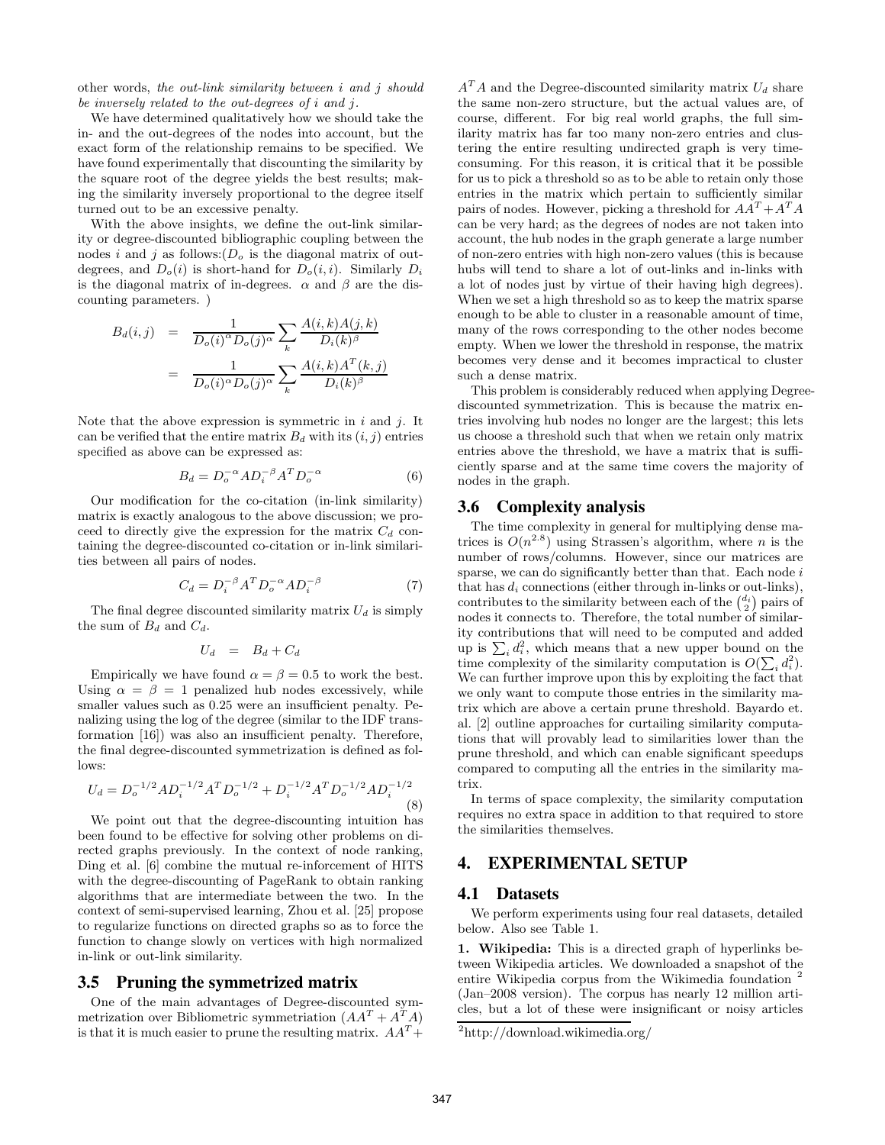other words, the out-link similarity between i and j should be inversely related to the out-degrees of i and j.

We have determined qualitatively how we should take the in- and the out-degrees of the nodes into account, but the exact form of the relationship remains to be specified. We have found experimentally that discounting the similarity by the square root of the degree yields the best results; making the similarity inversely proportional to the degree itself turned out to be an excessive penalty.

With the above insights, we define the out-link similarity or degree-discounted bibliographic coupling between the nodes i and j as follows:  $(D_0$  is the diagonal matrix of outdegrees, and  $D<sub>o</sub>(i)$  is short-hand for  $D<sub>o</sub>(i, i)$ . Similarly  $D<sub>i</sub>$ is the diagonal matrix of in-degrees.  $\alpha$  and  $\beta$  are the discounting parameters. )

$$
B_d(i,j) = \frac{1}{D_o(i)^{\alpha} D_o(j)^{\alpha}} \sum_{k} \frac{A(i,k)A(j,k)}{D_i(k)^{\beta}}
$$

$$
= \frac{1}{D_o(i)^{\alpha} D_o(j)^{\alpha}} \sum_{k} \frac{A(i,k)A^{T}(k,j)}{D_i(k)^{\beta}}
$$

Note that the above expression is symmetric in  $i$  and  $j$ . It can be verified that the entire matrix  $B_d$  with its  $(i, j)$  entries specified as above can be expressed as:

$$
B_d = D_o^{-\alpha} A D_i^{-\beta} A^T D_o^{-\alpha}
$$
 (6)

Our modification for the co-citation (in-link similarity) matrix is exactly analogous to the above discussion; we proceed to directly give the expression for the matrix  $C_d$  containing the degree-discounted co-citation or in-link similarities between all pairs of nodes.

$$
C_d = D_i^{-\beta} A^T D_o^{-\alpha} A D_i^{-\beta} \tag{7}
$$

The final degree discounted similarity matrix  $U_d$  is simply the sum of  $B_d$  and  $C_d$ .

$$
U_d \quad = \quad B_d + C_d
$$

Empirically we have found  $\alpha = \beta = 0.5$  to work the best. Using  $\alpha = \beta = 1$  penalized hub nodes excessively, while smaller values such as  $0.25$  were an insufficient penalty. Penalizing using the log of the degree (similar to the IDF transformation [16]) was also an insufficient penalty. Therefore, the final degree-discounted symmetrization is defined as follows:

$$
U_d = D_o^{-1/2} A D_i^{-1/2} A^T D_o^{-1/2} + D_i^{-1/2} A^T D_o^{-1/2} A D_i^{-1/2}
$$
\n(8)

We point out that the degree-discounting intuition has been found to be effective for solving other problems on directed graphs previously. In the context of node ranking, Ding et al. [6] combine the mutual re-inforcement of HITS with the degree-discounting of PageRank to obtain ranking algorithms that are intermediate between the two. In the context of semi-supervised learning, Zhou et al. [25] propose to regularize functions on directed graphs so as to force the function to change slowly on vertices with high normalized in-link or out-link similarity.

## **3.5 Pruning the symmetrized matrix**

One of the main advantages of Degree-discounted symmetrization over Bibliometric symmetriation  $(AA<sup>T</sup> + A<sup>T</sup>A)$ is that it is much easier to prune the resulting matrix.  $AA<sup>T</sup> +$ 

 $A<sup>T</sup>A$  and the Degree-discounted similarity matrix  $U<sub>d</sub>$  share the same non-zero structure, but the actual values are, of course, different. For big real world graphs, the full similarity matrix has far too many non-zero entries and clustering the entire resulting undirected graph is very timeconsuming. For this reason, it is critical that it be possible for us to pick a threshold so as to be able to retain only those entries in the matrix which pertain to sufficiently similar pairs of nodes. However, picking a threshold for  $AA^T + A^T A$ can be very hard; as the degrees of nodes are not taken into account, the hub nodes in the graph generate a large number of non-zero entries with high non-zero values (this is because hubs will tend to share a lot of out-links and in-links with a lot of nodes just by virtue of their having high degrees). When we set a high threshold so as to keep the matrix sparse enough to be able to cluster in a reasonable amount of time, many of the rows corresponding to the other nodes become empty. When we lower the threshold in response, the matrix becomes very dense and it becomes impractical to cluster such a dense matrix.

This problem is considerably reduced when applying Degreediscounted symmetrization. This is because the matrix entries involving hub nodes no longer are the largest; this lets us choose a threshold such that when we retain only matrix entries above the threshold, we have a matrix that is sufficiently sparse and at the same time covers the majority of nodes in the graph.

## **3.6 Complexity analysis**

The time complexity in general for multiplying dense matrices is  $O(n^{2.8})$  using Strassen's algorithm, where *n* is the number of rows/columns. However, since our matrices are sparse, we can do significantly better than that. Each node  $i$ that has  $d_i$  connections (either through in-links or out-links), contributes to the similarity between each of the  $\binom{d_i}{2}$  pairs of nodes it connects to. Therefore, the total number of similarity contributions that will need to be computed and added up is  $\sum_i d_i^2$ , which means that a new upper bound on the time complexity of the similarity computation is  $O(\sum_i d_i^2)$ . We can further improve upon this by exploiting the fact that we only want to compute those entries in the similarity matrix which are above a certain prune threshold. Bayardo et. al. [2] outline approaches for curtailing similarity computations that will provably lead to similarities lower than the prune threshold, and which can enable significant speedups compared to computing all the entries in the similarity matrix.

In terms of space complexity, the similarity computation requires no extra space in addition to that required to store the similarities themselves.

## **4. EXPERIMENTAL SETUP**

## **4.1 Datasets**

We perform experiments using four real datasets, detailed below. Also see Table 1.

1. Wikipedia: This is a directed graph of hyperlinks between Wikipedia articles. We downloaded a snapshot of the entire Wikipedia corpus from the Wikimedia foundation <sup>2</sup> (Jan–2008 version). The corpus has nearly 12 million articles, but a lot of these were insignificant or noisy articles

<sup>2</sup> http://download.wikimedia.org/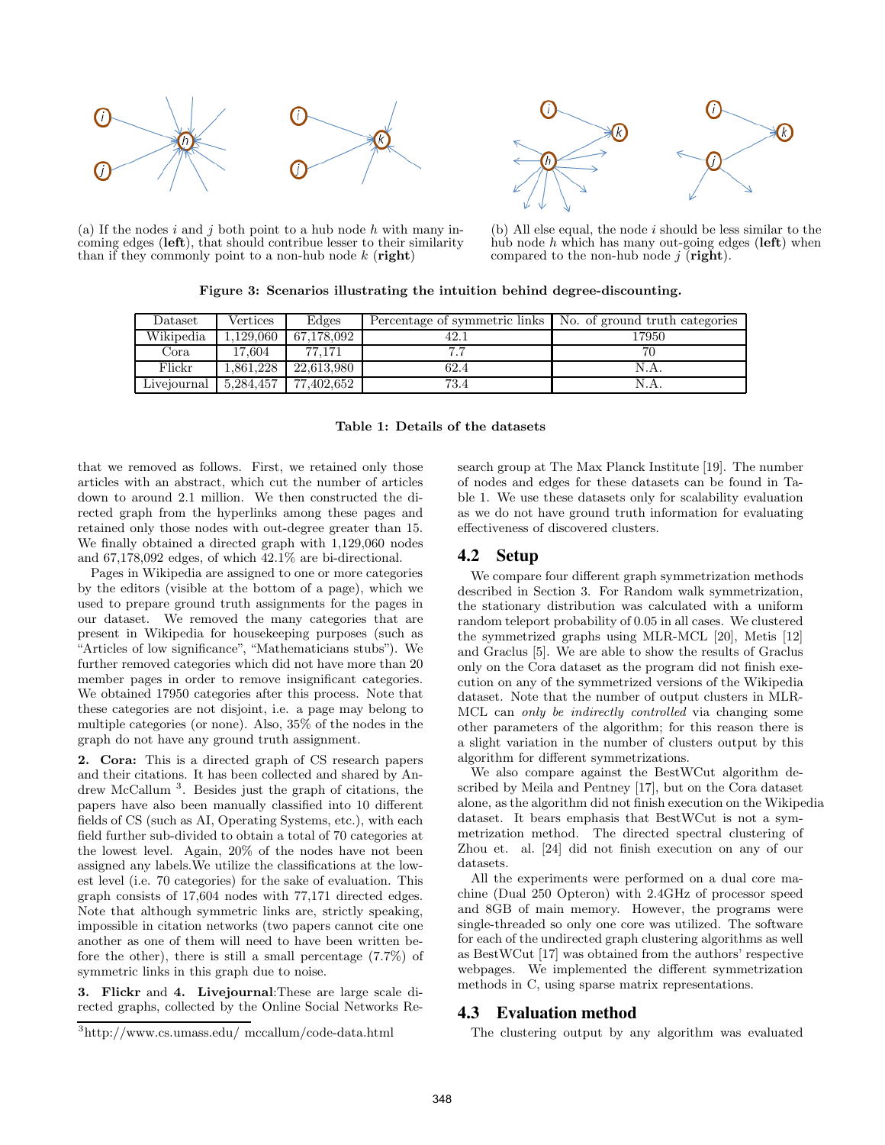



(a) If the nodes i and j both point to a hub node h with many incoming edges (left), that should contribue lesser to their similarity than if they commonly point to a non-hub node  $k$  (right)

(b) All else equal, the node  $i$  should be less similar to the hub node h which has many out-going edges (left) when compared to the non-hub node  $j$  (right).

Figure 3: Scenarios illustrating the intuition behind degree-discounting.

| Dataset     | Vertices  | Edges      |      | Percentage of symmetric links   No. of ground truth categories |
|-------------|-----------|------------|------|----------------------------------------------------------------|
| Wikipedia   | 1.129.060 | 67,178,092 | 42.1 | 17950                                                          |
| Cora        | 17.604    | 77.171     | 77   | 76                                                             |
| Flickr      | 0.861,228 | 22,613,980 | 62.4 | N.A.                                                           |
| Livejournal | 5.284.457 | 77.402.652 | 73.4 | N.A                                                            |

### Table 1: Details of the datasets

that we removed as follows. First, we retained only those articles with an abstract, which cut the number of articles down to around 2.1 million. We then constructed the directed graph from the hyperlinks among these pages and retained only those nodes with out-degree greater than 15. We finally obtained a directed graph with 1,129,060 nodes and 67,178,092 edges, of which 42.1% are bi-directional.

Pages in Wikipedia are assigned to one or more categories by the editors (visible at the bottom of a page), which we used to prepare ground truth assignments for the pages in our dataset. We removed the many categories that are present in Wikipedia for housekeeping purposes (such as "Articles of low significance", "Mathematicians stubs"). We further removed categories which did not have more than 20 member pages in order to remove insignificant categories. We obtained 17950 categories after this process. Note that these categories are not disjoint, i.e. a page may belong to multiple categories (or none). Also, 35% of the nodes in the graph do not have any ground truth assignment.

2. Cora: This is a directed graph of CS research papers and their citations. It has been collected and shared by Andrew McCallum <sup>3</sup> . Besides just the graph of citations, the papers have also been manually classified into 10 different fields of CS (such as AI, Operating Systems, etc.), with each field further sub-divided to obtain a total of 70 categories at the lowest level. Again, 20% of the nodes have not been assigned any labels.We utilize the classifications at the lowest level (i.e. 70 categories) for the sake of evaluation. This graph consists of 17,604 nodes with 77,171 directed edges. Note that although symmetric links are, strictly speaking, impossible in citation networks (two papers cannot cite one another as one of them will need to have been written before the other), there is still a small percentage (7.7%) of symmetric links in this graph due to noise.

3. Flickr and 4. Livejournal:These are large scale directed graphs, collected by the Online Social Networks Research group at The Max Planck Institute [19]. The number of nodes and edges for these datasets can be found in Table 1. We use these datasets only for scalability evaluation as we do not have ground truth information for evaluating effectiveness of discovered clusters.

## **4.2 Setup**

We compare four different graph symmetrization methods described in Section 3. For Random walk symmetrization, the stationary distribution was calculated with a uniform random teleport probability of 0.05 in all cases. We clustered the symmetrized graphs using MLR-MCL [20], Metis [12] and Graclus [5]. We are able to show the results of Graclus only on the Cora dataset as the program did not finish execution on any of the symmetrized versions of the Wikipedia dataset. Note that the number of output clusters in MLR-MCL can only be indirectly controlled via changing some other parameters of the algorithm; for this reason there is a slight variation in the number of clusters output by this algorithm for different symmetrizations.

We also compare against the BestWCut algorithm described by Meila and Pentney [17], but on the Cora dataset alone, as the algorithm did not finish execution on the Wikipedia dataset. It bears emphasis that BestWCut is not a symmetrization method. The directed spectral clustering of Zhou et. al. [24] did not finish execution on any of our datasets.

All the experiments were performed on a dual core machine (Dual 250 Opteron) with 2.4GHz of processor speed and 8GB of main memory. However, the programs were single-threaded so only one core was utilized. The software for each of the undirected graph clustering algorithms as well as BestWCut [17] was obtained from the authors' respective webpages. We implemented the different symmetrization methods in C, using sparse matrix representations.

#### **4.3 Evaluation method**

The clustering output by any algorithm was evaluated

<sup>3</sup> http://www.cs.umass.edu/ mccallum/code-data.html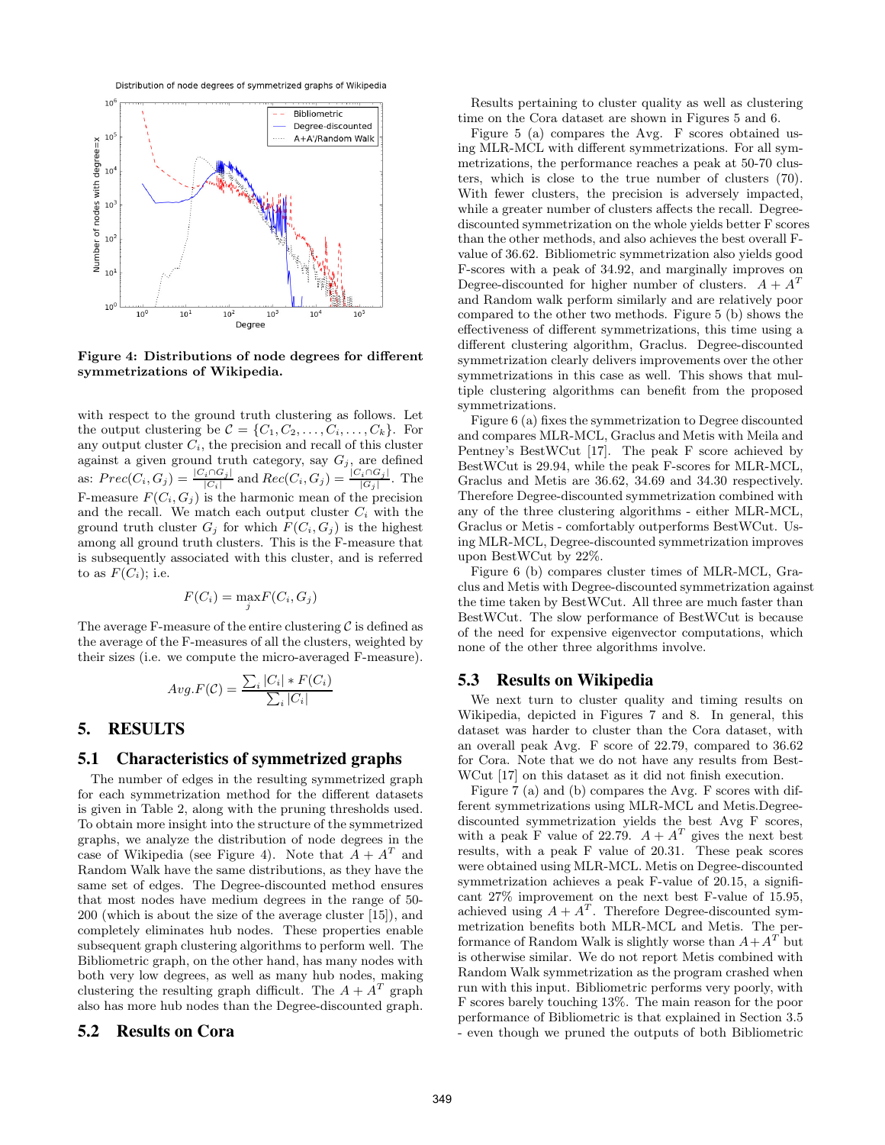Distribution of node degrees of symmetrized graphs of Wikipedia

![](_page_6_Figure_1.jpeg)

Figure 4: Distributions of node degrees for different symmetrizations of Wikipedia.

with respect to the ground truth clustering as follows. Let the output clustering be  $\mathcal{C} = \{C_1, C_2, \ldots, C_i, \ldots, C_k\}$ . For any output cluster  $C_i$ , the precision and recall of this cluster against a given ground truth category, say  $G_j$ , are defined as:  $Prec(C_i, G_j) = \frac{|C_i \cap G_j|}{|C_i|}$  and  $Rec(C_i, G_j) = \frac{|C_i \cap G_j|}{|G_j|}$ . The F-measure  $F(C_i, G_j)$  is the harmonic mean of the precision and the recall. We match each output cluster  $C_i$  with the ground truth cluster  $G_j$  for which  $F(C_i, G_j)$  is the highest among all ground truth clusters. This is the F-measure that is subsequently associated with this cluster, and is referred to as  $F(C_i)$ ; i.e.

$$
F(C_i) = \max_j F(C_i, G_j)
$$

The average F-measure of the entire clustering  $\mathcal C$  is defined as the average of the F-measures of all the clusters, weighted by their sizes (i.e. we compute the micro-averaged F-measure).

$$
Avg.F(\mathcal{C}) = \frac{\sum_{i} |C_i| * F(C_i)}{\sum_{i} |C_i|}
$$

# **5. RESULTS**

#### **5.1 Characteristics of symmetrized graphs**

The number of edges in the resulting symmetrized graph for each symmetrization method for the different datasets is given in Table 2, along with the pruning thresholds used. To obtain more insight into the structure of the symmetrized graphs, we analyze the distribution of node degrees in the case of Wikipedia (see Figure 4). Note that  $A + A<sup>T</sup>$  and Random Walk have the same distributions, as they have the same set of edges. The Degree-discounted method ensures that most nodes have medium degrees in the range of 50- 200 (which is about the size of the average cluster [15]), and completely eliminates hub nodes. These properties enable subsequent graph clustering algorithms to perform well. The Bibliometric graph, on the other hand, has many nodes with both very low degrees, as well as many hub nodes, making clustering the resulting graph difficult. The  $A + A^T$  graph also has more hub nodes than the Degree-discounted graph.

#### **5.2 Results on Cora**

Results pertaining to cluster quality as well as clustering time on the Cora dataset are shown in Figures 5 and 6.

Figure 5 (a) compares the Avg. F scores obtained using MLR-MCL with different symmetrizations. For all symmetrizations, the performance reaches a peak at 50-70 clusters, which is close to the true number of clusters (70). With fewer clusters, the precision is adversely impacted, while a greater number of clusters affects the recall. Degreediscounted symmetrization on the whole yields better F scores than the other methods, and also achieves the best overall Fvalue of 36.62. Bibliometric symmetrization also yields good F-scores with a peak of 34.92, and marginally improves on Degree-discounted for higher number of clusters.  $A + A<sup>T</sup>$ and Random walk perform similarly and are relatively poor compared to the other two methods. Figure 5 (b) shows the effectiveness of different symmetrizations, this time using a different clustering algorithm, Graclus. Degree-discounted symmetrization clearly delivers improvements over the other symmetrizations in this case as well. This shows that multiple clustering algorithms can benefit from the proposed symmetrizations.

Figure 6 (a) fixes the symmetrization to Degree discounted and compares MLR-MCL, Graclus and Metis with Meila and Pentney's BestWCut [17]. The peak F score achieved by BestWCut is 29.94, while the peak F-scores for MLR-MCL, Graclus and Metis are 36.62, 34.69 and 34.30 respectively. Therefore Degree-discounted symmetrization combined with any of the three clustering algorithms - either MLR-MCL, Graclus or Metis - comfortably outperforms BestWCut. Using MLR-MCL, Degree-discounted symmetrization improves upon BestWCut by 22%.

Figure 6 (b) compares cluster times of MLR-MCL, Graclus and Metis with Degree-discounted symmetrization against the time taken by BestWCut. All three are much faster than BestWCut. The slow performance of BestWCut is because of the need for expensive eigenvector computations, which none of the other three algorithms involve.

## **5.3 Results on Wikipedia**

We next turn to cluster quality and timing results on Wikipedia, depicted in Figures 7 and 8. In general, this dataset was harder to cluster than the Cora dataset, with an overall peak Avg. F score of 22.79, compared to 36.62 for Cora. Note that we do not have any results from Best-WCut [17] on this dataset as it did not finish execution.

Figure 7 (a) and (b) compares the Avg. F scores with different symmetrizations using MLR-MCL and Metis.Degreediscounted symmetrization yields the best Avg F scores, with a peak F value of 22.79.  $A + A<sup>T</sup>$  gives the next best results, with a peak F value of 20.31. These peak scores were obtained using MLR-MCL. Metis on Degree-discounted symmetrization achieves a peak F-value of 20.15, a significant 27% improvement on the next best F-value of 15.95, achieved using  $A + A<sup>T</sup>$ . Therefore Degree-discounted symmetrization benefits both MLR-MCL and Metis. The performance of Random Walk is slightly worse than  $A + A^T$  but is otherwise similar. We do not report Metis combined with Random Walk symmetrization as the program crashed when run with this input. Bibliometric performs very poorly, with F scores barely touching 13%. The main reason for the poor performance of Bibliometric is that explained in Section 3.5 - even though we pruned the outputs of both Bibliometric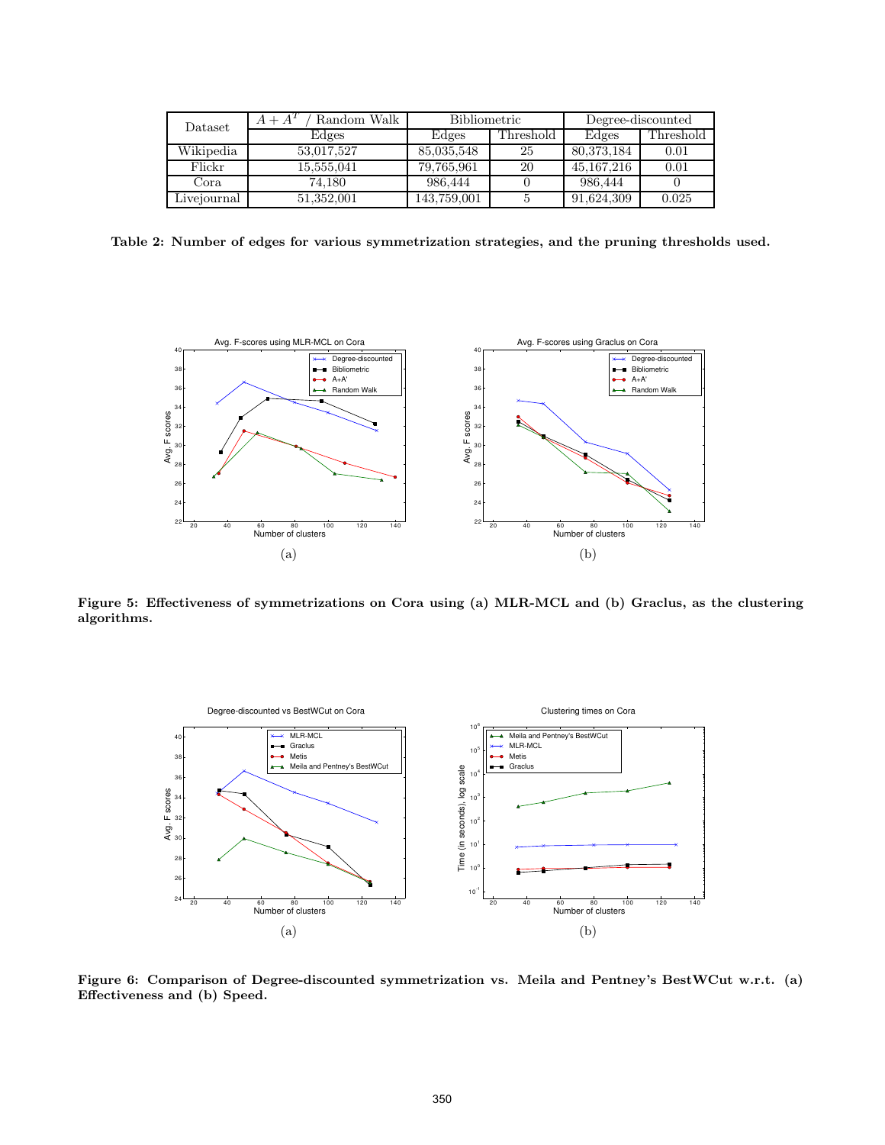| Dataset     | Random Walk<br>$A+A$ | <b>Bibliometric</b> |           | Degree-discounted |           |
|-------------|----------------------|---------------------|-----------|-------------------|-----------|
|             | Edges                | Edges               | Threshold | Edges             | Threshold |
| Wikipedia   | 53,017,527           | 85,035,548          | 25        | 80,373,184        | 0.01      |
| Flickr      | 15.555.041           | 79,765,961          | 20        | 45, 167, 216      | 0.01      |
| Cora.       | 74.180               | 986.444             |           | 986.444           |           |
| Livejournal | 51,352,001           | 143,759,001         |           | 91,624,309        | 0.025     |

Table 2: Number of edges for various symmetrization strategies, and the pruning thresholds used.

![](_page_7_Figure_2.jpeg)

Figure 5: Effectiveness of symmetrizations on Cora using (a) MLR-MCL and (b) Graclus, as the clustering algorithms.

![](_page_7_Figure_4.jpeg)

Figure 6: Comparison of Degree-discounted symmetrization vs. Meila and Pentney's BestWCut w.r.t. (a) Effectiveness and (b) Speed.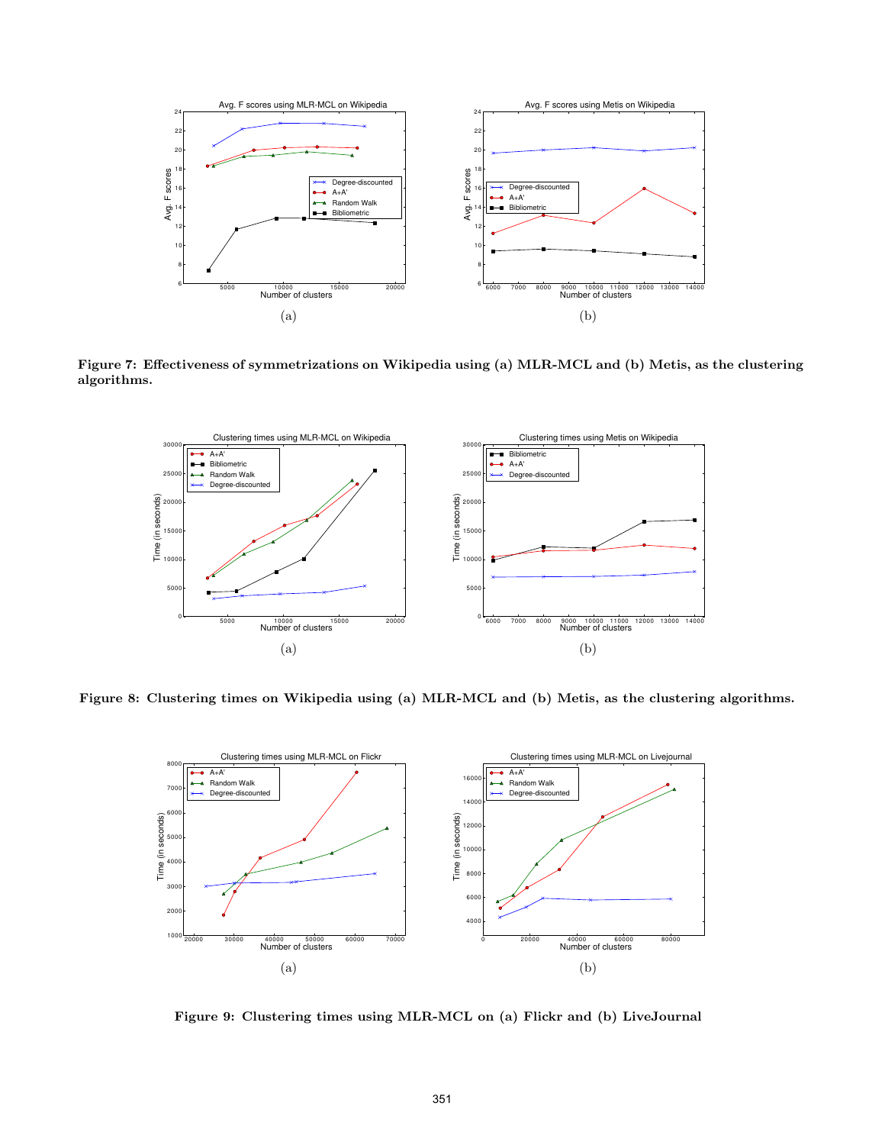![](_page_8_Figure_0.jpeg)

Figure 7: Effectiveness of symmetrizations on Wikipedia using (a) MLR-MCL and (b) Metis, as the clustering algorithms.

![](_page_8_Figure_2.jpeg)

Figure 8: Clustering times on Wikipedia using (a) MLR-MCL and (b) Metis, as the clustering algorithms.

![](_page_8_Figure_4.jpeg)

Figure 9: Clustering times using MLR-MCL on (a) Flickr and (b) LiveJournal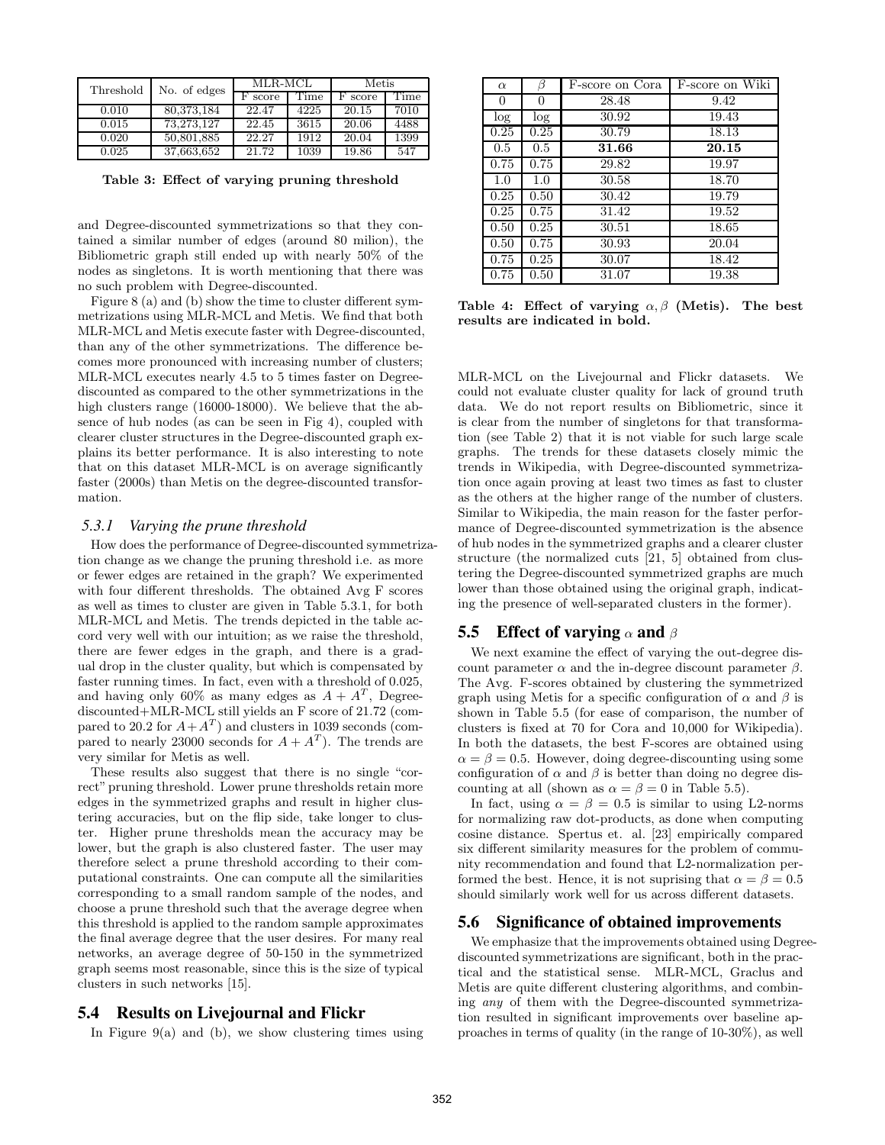| Threshold | No. of edges | MLR-MCL |      | Metis |      |
|-----------|--------------|---------|------|-------|------|
|           |              | score   | Time | score | Time |
| 0.010     | 80,373,184   | 22.47   | 4225 | 20.15 | 7010 |
| 0.015     | 73.273.127   | 22.45   | 3615 | 20.06 | 4488 |
| 0.020     | 50,801,885   | 22.27   | 1912 | 20.04 | 1399 |
| 0.025     | 37,663,652   | 21.72   | 1039 | 19.86 | 547  |

Table 3: Effect of varying pruning threshold

and Degree-discounted symmetrizations so that they contained a similar number of edges (around 80 milion), the Bibliometric graph still ended up with nearly 50% of the nodes as singletons. It is worth mentioning that there was no such problem with Degree-discounted.

Figure 8 (a) and (b) show the time to cluster different symmetrizations using MLR-MCL and Metis. We find that both MLR-MCL and Metis execute faster with Degree-discounted, than any of the other symmetrizations. The difference becomes more pronounced with increasing number of clusters; MLR-MCL executes nearly 4.5 to 5 times faster on Degreediscounted as compared to the other symmetrizations in the high clusters range (16000-18000). We believe that the absence of hub nodes (as can be seen in Fig 4), coupled with clearer cluster structures in the Degree-discounted graph explains its better performance. It is also interesting to note that on this dataset MLR-MCL is on average significantly faster (2000s) than Metis on the degree-discounted transformation.

#### *5.3.1 Varying the prune threshold*

How does the performance of Degree-discounted symmetrization change as we change the pruning threshold i.e. as more or fewer edges are retained in the graph? We experimented with four different thresholds. The obtained Avg F scores as well as times to cluster are given in Table 5.3.1, for both MLR-MCL and Metis. The trends depicted in the table accord very well with our intuition; as we raise the threshold, there are fewer edges in the graph, and there is a gradual drop in the cluster quality, but which is compensated by faster running times. In fact, even with a threshold of 0.025, and having only 60% as many edges as  $A + A<sup>T</sup>$ , Degreediscounted+MLR-MCL still yields an F score of 21.72 (compared to 20.2 for  $A + A<sup>T</sup>$  and clusters in 1039 seconds (compared to nearly 23000 seconds for  $A + A<sup>T</sup>$ ). The trends are very similar for Metis as well.

These results also suggest that there is no single "correct" pruning threshold. Lower prune thresholds retain more edges in the symmetrized graphs and result in higher clustering accuracies, but on the flip side, take longer to cluster. Higher prune thresholds mean the accuracy may be lower, but the graph is also clustered faster. The user may therefore select a prune threshold according to their computational constraints. One can compute all the similarities corresponding to a small random sample of the nodes, and choose a prune threshold such that the average degree when this threshold is applied to the random sample approximates the final average degree that the user desires. For many real networks, an average degree of 50-150 in the symmetrized graph seems most reasonable, since this is the size of typical clusters in such networks [15].

## **5.4 Results on Livejournal and Flickr**

In Figure 9(a) and (b), we show clustering times using

| $\alpha$ | ß            | F-score on Cora | F-score on Wiki |
|----------|--------------|-----------------|-----------------|
| 0        | $\mathbf{0}$ | 28.48           | 9.42            |
| $\log$   | log          | 30.92           | 19.43           |
| 0.25     | $0.25\,$     | 30.79           | 18.13           |
| 0.5      | 0.5          | 31.66           | 20.15           |
| 0.75     | 0.75         | 29.82           | 19.97           |
| 1.0      | 1.0          | 30.58           | 18.70           |
| 0.25     | 0.50         | 30.42           | 19.79           |
| 0.25     | 0.75         | 31.42           | 19.52           |
| 0.50     | 0.25         | 30.51           | 18.65           |
| 0.50     | 0.75         | 30.93           | 20.04           |
| 0.75     | $0.25\,$     | 30.07           | 18.42           |
| 0.75     | 0.50         | 31.07           | 19.38           |

Table 4: Effect of varying  $\alpha, \beta$  (Metis). The best results are indicated in bold.

MLR-MCL on the Livejournal and Flickr datasets. We could not evaluate cluster quality for lack of ground truth data. We do not report results on Bibliometric, since it is clear from the number of singletons for that transformation (see Table 2) that it is not viable for such large scale graphs. The trends for these datasets closely mimic the trends in Wikipedia, with Degree-discounted symmetrization once again proving at least two times as fast to cluster as the others at the higher range of the number of clusters. Similar to Wikipedia, the main reason for the faster performance of Degree-discounted symmetrization is the absence of hub nodes in the symmetrized graphs and a clearer cluster structure (the normalized cuts [21, 5] obtained from clustering the Degree-discounted symmetrized graphs are much lower than those obtained using the original graph, indicating the presence of well-separated clusters in the former).

## **5.5** Effect of varying  $\alpha$  and  $\beta$

We next examine the effect of varying the out-degree discount parameter  $\alpha$  and the in-degree discount parameter  $\beta$ . The Avg. F-scores obtained by clustering the symmetrized graph using Metis for a specific configuration of  $\alpha$  and  $\beta$  is shown in Table 5.5 (for ease of comparison, the number of clusters is fixed at 70 for Cora and 10,000 for Wikipedia). In both the datasets, the best F-scores are obtained using  $\alpha = \beta = 0.5$ . However, doing degree-discounting using some configuration of  $\alpha$  and  $\beta$  is better than doing no degree discounting at all (shown as  $\alpha = \beta = 0$  in Table 5.5).

In fact, using  $\alpha = \beta = 0.5$  is similar to using L2-norms for normalizing raw dot-products, as done when computing cosine distance. Spertus et. al. [23] empirically compared six different similarity measures for the problem of community recommendation and found that L2-normalization performed the best. Hence, it is not suprising that  $\alpha = \beta = 0.5$ should similarly work well for us across different datasets.

#### **5.6 Significance of obtained improvements**

We emphasize that the improvements obtained using Degreediscounted symmetrizations are significant, both in the practical and the statistical sense. MLR-MCL, Graclus and Metis are quite different clustering algorithms, and combining any of them with the Degree-discounted symmetrization resulted in significant improvements over baseline approaches in terms of quality (in the range of 10-30%), as well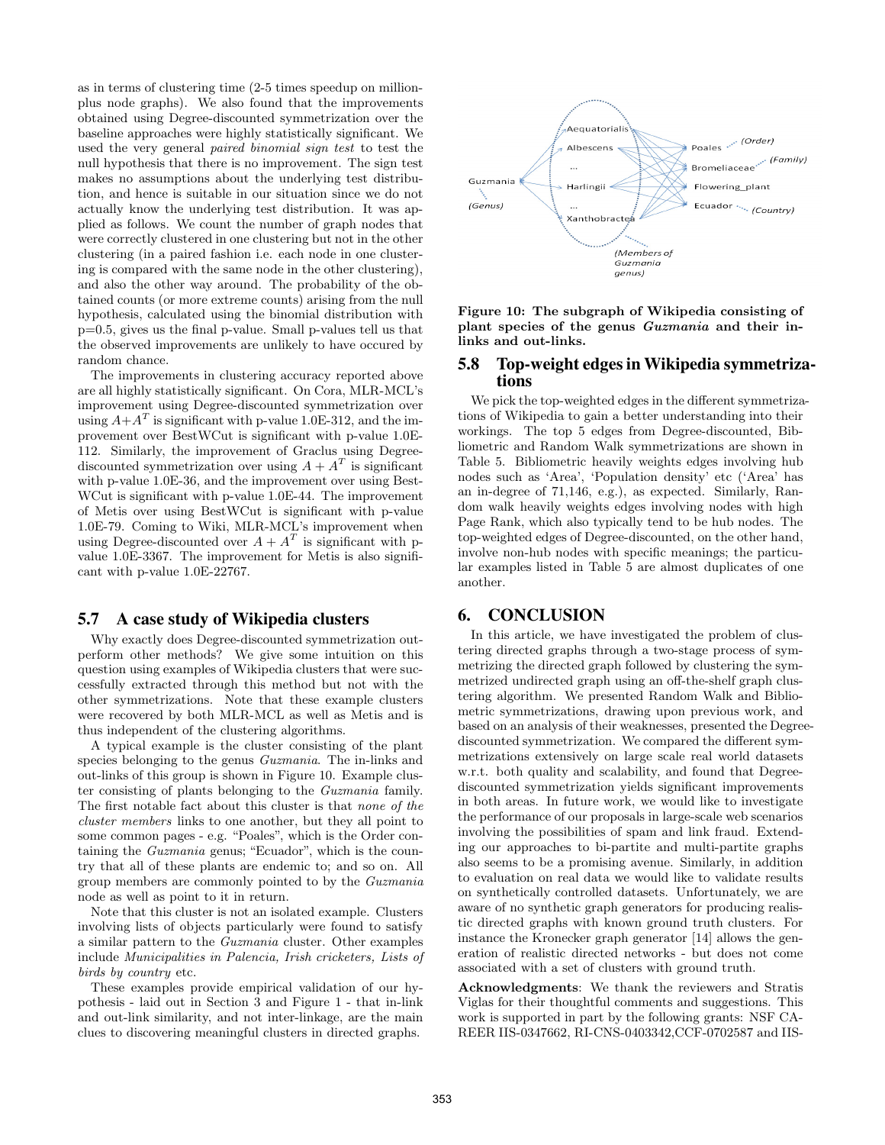as in terms of clustering time (2-5 times speedup on millionplus node graphs). We also found that the improvements obtained using Degree-discounted symmetrization over the baseline approaches were highly statistically significant. We used the very general paired binomial sign test to test the null hypothesis that there is no improvement. The sign test makes no assumptions about the underlying test distribution, and hence is suitable in our situation since we do not actually know the underlying test distribution. It was applied as follows. We count the number of graph nodes that were correctly clustered in one clustering but not in the other clustering (in a paired fashion i.e. each node in one clustering is compared with the same node in the other clustering), and also the other way around. The probability of the obtained counts (or more extreme counts) arising from the null hypothesis, calculated using the binomial distribution with p=0.5, gives us the final p-value. Small p-values tell us that the observed improvements are unlikely to have occured by random chance.

The improvements in clustering accuracy reported above are all highly statistically significant. On Cora, MLR-MCL's improvement using Degree-discounted symmetrization over using  $A + A^T$  is significant with p-value 1.0E-312, and the improvement over BestWCut is significant with p-value 1.0E-112. Similarly, the improvement of Graclus using Degreediscounted symmetrization over using  $A + A<sup>T</sup>$  is significant with p-value 1.0E-36, and the improvement over using Best-WCut is significant with p-value 1.0E-44. The improvement of Metis over using BestWCut is significant with p-value 1.0E-79. Coming to Wiki, MLR-MCL's improvement when using Degree-discounted over  $A + A<sup>T</sup>$  is significant with pvalue 1.0E-3367. The improvement for Metis is also significant with p-value 1.0E-22767.

## **5.7 A case study of Wikipedia clusters**

Why exactly does Degree-discounted symmetrization outperform other methods? We give some intuition on this question using examples of Wikipedia clusters that were successfully extracted through this method but not with the other symmetrizations. Note that these example clusters were recovered by both MLR-MCL as well as Metis and is thus independent of the clustering algorithms.

A typical example is the cluster consisting of the plant species belonging to the genus Guzmania. The in-links and out-links of this group is shown in Figure 10. Example cluster consisting of plants belonging to the Guzmania family. The first notable fact about this cluster is that none of the cluster members links to one another, but they all point to some common pages - e.g. "Poales", which is the Order containing the Guzmania genus; "Ecuador", which is the country that all of these plants are endemic to; and so on. All group members are commonly pointed to by the Guzmania node as well as point to it in return.

Note that this cluster is not an isolated example. Clusters involving lists of objects particularly were found to satisfy a similar pattern to the Guzmania cluster. Other examples include Municipalities in Palencia, Irish cricketers, Lists of birds by country etc.

These examples provide empirical validation of our hypothesis - laid out in Section 3 and Figure 1 - that in-link and out-link similarity, and not inter-linkage, are the main clues to discovering meaningful clusters in directed graphs.

![](_page_10_Figure_7.jpeg)

Figure 10: The subgraph of Wikipedia consisting of plant species of the genus Guzmania and their inlinks and out-links.

# **5.8 Top-weight edges in Wikipedia symmetrizations**

We pick the top-weighted edges in the different symmetrizations of Wikipedia to gain a better understanding into their workings. The top 5 edges from Degree-discounted, Bibliometric and Random Walk symmetrizations are shown in Table 5. Bibliometric heavily weights edges involving hub nodes such as 'Area', 'Population density' etc ('Area' has an in-degree of 71,146, e.g.), as expected. Similarly, Random walk heavily weights edges involving nodes with high Page Rank, which also typically tend to be hub nodes. The top-weighted edges of Degree-discounted, on the other hand, involve non-hub nodes with specific meanings; the particular examples listed in Table 5 are almost duplicates of one another.

# **6. CONCLUSION**

In this article, we have investigated the problem of clustering directed graphs through a two-stage process of symmetrizing the directed graph followed by clustering the symmetrized undirected graph using an off-the-shelf graph clustering algorithm. We presented Random Walk and Bibliometric symmetrizations, drawing upon previous work, and based on an analysis of their weaknesses, presented the Degreediscounted symmetrization. We compared the different symmetrizations extensively on large scale real world datasets w.r.t. both quality and scalability, and found that Degreediscounted symmetrization yields significant improvements in both areas. In future work, we would like to investigate the performance of our proposals in large-scale web scenarios involving the possibilities of spam and link fraud. Extending our approaches to bi-partite and multi-partite graphs also seems to be a promising avenue. Similarly, in addition to evaluation on real data we would like to validate results on synthetically controlled datasets. Unfortunately, we are aware of no synthetic graph generators for producing realistic directed graphs with known ground truth clusters. For instance the Kronecker graph generator [14] allows the generation of realistic directed networks - but does not come associated with a set of clusters with ground truth.

Acknowledgments: We thank the reviewers and Stratis Viglas for their thoughtful comments and suggestions. This work is supported in part by the following grants: NSF CA-REER IIS-0347662, RI-CNS-0403342,CCF-0702587 and IIS-